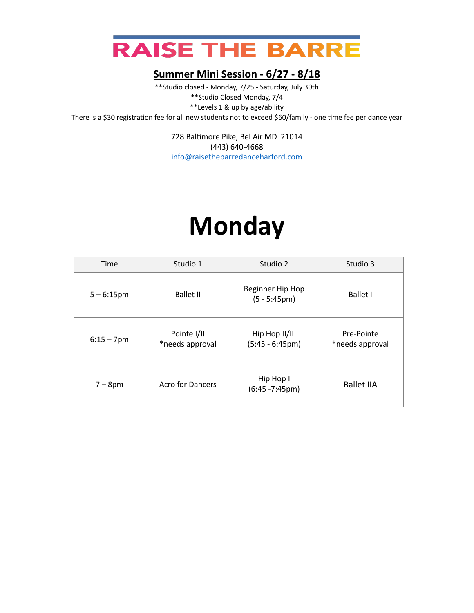

\*\*Studio closed - Monday, 7/25 - Saturday, July 30th \*\*Studio Closed Monday, 7/4 \*\*Levels 1 & up by age/ability There is a \$30 registration fee for all new students not to exceed \$60/family - one time fee per dance year

> 728 Baltimore Pike, Bel Air MD 21014 (443) 640-4668 [info@raisethebarredanceharford.com](mailto:info@raisethebarredanceharford.com)

### **Monday**

| Time          | Studio 1                       | Studio 2                                   | Studio 3                      |
|---------------|--------------------------------|--------------------------------------------|-------------------------------|
| $5 - 6:15$ pm | <b>Ballet II</b>               | Beginner Hip Hop<br>$(5 - 5:45 \text{pm})$ | <b>Ballet I</b>               |
| $6:15 - 7$ pm | Pointe I/II<br>*needs approval | Hip Hop II/III<br>$(5:45 - 6:45pm)$        | Pre-Pointe<br>*needs approval |
| $7-8$ pm      | Acro for Dancers               | Hip Hop I<br>$(6:45 - 7:45pm)$             | <b>Ballet IIA</b>             |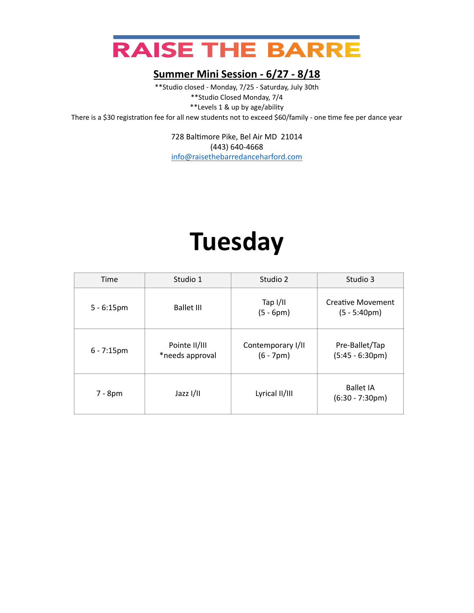

\*\*Studio closed - Monday, 7/25 - Saturday, July 30th \*\*Studio Closed Monday, 7/4 \*\*Levels 1 & up by age/ability There is a \$30 registration fee for all new students not to exceed \$60/family - one time fee per dance year

> 728 Baltimore Pike, Bel Air MD 21014 (443) 640-4668 [info@raisethebarredanceharford.com](mailto:info@raisethebarredanceharford.com)

## **Tuesday**

| Time          | Studio 1                         | Studio 2                         | Studio 3                                   |
|---------------|----------------------------------|----------------------------------|--------------------------------------------|
| $5 - 6:15$ pm | <b>Ballet III</b>                | Tap $I/II$<br>$(5 - 6pm)$        | <b>Creative Movement</b><br>$(5 - 5:40pm)$ |
| $6 - 7:15$ pm | Pointe II/III<br>*needs approval | Contemporary I/II<br>$(6 - 7pm)$ | Pre-Ballet/Tap<br>$(5:45 - 6:30pm)$        |
| $7 - 8pm$     | Jazz I/II                        | Lyrical II/III                   | <b>Ballet IA</b><br>$(6:30 - 7:30pm)$      |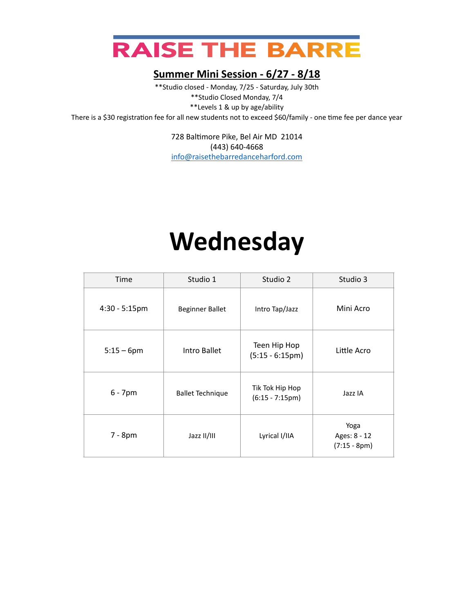

\*\*Studio closed - Monday, 7/25 - Saturday, July 30th \*\*Studio Closed Monday, 7/4 \*\*Levels 1 & up by age/ability There is a \$30 registration fee for all new students not to exceed \$60/family - one time fee per dance year

> 728 Baltimore Pike, Bel Air MD 21014 (443) 640-4668 [info@raisethebarredanceharford.com](mailto:info@raisethebarredanceharford.com)

# **Wednesday**

| Time             | Studio 1                | Studio 2                             | Studio 3                               |
|------------------|-------------------------|--------------------------------------|----------------------------------------|
| $4:30 - 5:15$ pm | <b>Beginner Ballet</b>  | Intro Tap/Jazz                       | Mini Acro                              |
| $5:15 - 6$ pm    | Intro Ballet            | Teen Hip Hop<br>$(5:15 - 6:15pm)$    | Little Acro                            |
| $6 - 7$ pm       | <b>Ballet Technique</b> | Tik Tok Hip Hop<br>$(6:15 - 7:15pm)$ | Jazz IA                                |
| 7 - 8pm          | Jazz II/III             | Lyrical I/IIA                        | Yoga<br>Ages: 8 - 12<br>$(7:15 - 8pm)$ |